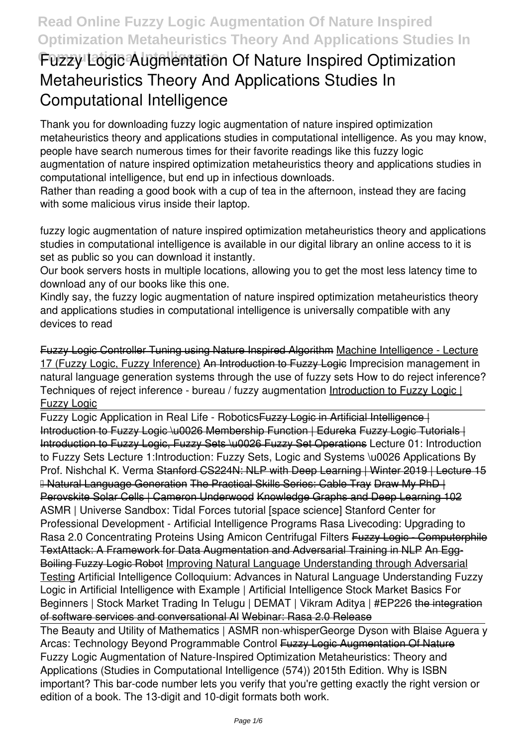# **Fuzzy Logic Augmentation Of Nature Inspired Optimization Metaheuristics Theory And Applications Studies In Computational Intelligence**

Thank you for downloading **fuzzy logic augmentation of nature inspired optimization metaheuristics theory and applications studies in computational intelligence**. As you may know, people have search numerous times for their favorite readings like this fuzzy logic augmentation of nature inspired optimization metaheuristics theory and applications studies in computational intelligence, but end up in infectious downloads.

Rather than reading a good book with a cup of tea in the afternoon, instead they are facing with some malicious virus inside their laptop.

fuzzy logic augmentation of nature inspired optimization metaheuristics theory and applications studies in computational intelligence is available in our digital library an online access to it is set as public so you can download it instantly.

Our book servers hosts in multiple locations, allowing you to get the most less latency time to download any of our books like this one.

Kindly say, the fuzzy logic augmentation of nature inspired optimization metaheuristics theory and applications studies in computational intelligence is universally compatible with any devices to read

Fuzzy Logic Controller Tuning using Nature Inspired Algorithm Machine Intelligence - Lecture 17 (Fuzzy Logic, Fuzzy Inference) An Introduction to Fuzzy Logic **Imprecision management in natural language generation systems through the use of fuzzy sets** How to do reject inference? Techniques of reject inference - bureau / fuzzy augmentation Introduction to Fuzzy Logic | Fuzzy Logic

Fuzzy Logic Application in Real Life - Robotics Fuzzy Logie in Artificial Intelligence | Introduction to Fuzzy Logic \u0026 Membership Function | Edureka Fuzzy Logic Tutorials | Introduction to Fuzzy Logic, Fuzzy Sets \u0026 Fuzzy Set Operations **Lecture 01: Introduction to Fuzzy Sets** Lecture 1:Introduction: Fuzzy Sets, Logic and Systems \u0026 Applications By Prof. Nishchal K. Verma Stanford CS224N: NLP with Deep Learning | Winter 2019 | Lecture 15 – Natural Language Generation The Practical Skills Series: Cable Tray Draw My PhD | Perovskite Solar Cells | Cameron Underwood Knowledge Graphs and Deep Learning 102 *ASMR | Universe Sandbox: Tidal Forces tutorial [space science]* Stanford Center for Professional Development - Artificial Intelligence Programs **Rasa Livecoding: Upgrading to Rasa 2.0** Concentrating Proteins Using Amicon Centrifugal Filters Fuzzy Logic - Computerphile TextAttack: A Framework for Data Augmentation and Adversarial Training in NLP An Egg-Boiling Fuzzy Logic Robot Improving Natural Language Understanding through Adversarial Testing *Artificial Intelligence Colloquium: Advances in Natural Language Understanding Fuzzy Logic in Artificial Intelligence with Example | Artificial Intelligence* Stock Market Basics For Beginners | Stock Market Trading In Telugu | DEMAT | Vikram Aditya | #EP226 the integration of software services and conversational Al Webinar: Rasa 2.0 Release

The Beauty and Utility of Mathematics | ASMR non-whisper**George Dyson with Blaise Aguera y Arcas: Technology Beyond Programmable Control** Fuzzy Logic Augmentation Of Nature Fuzzy Logic Augmentation of Nature-Inspired Optimization Metaheuristics: Theory and Applications (Studies in Computational Intelligence (574)) 2015th Edition. Why is ISBN important? This bar-code number lets you verify that you're getting exactly the right version or edition of a book. The 13-digit and 10-digit formats both work.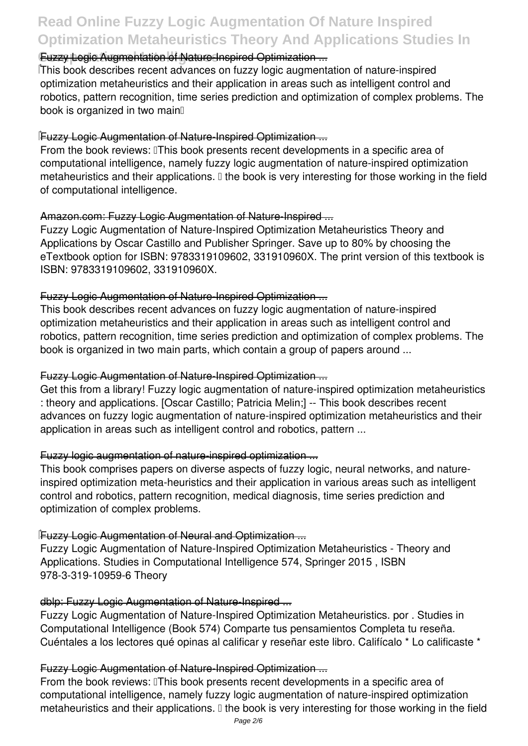# **Read Online Fuzzy Logic Augmentation Of Nature Inspired Optimization Metaheuristics Theory And Applications Studies In**

# **Cuzzy Logic Augmentation of Nature-Inspired Optimization ...**

This book describes recent advances on fuzzy logic augmentation of nature-inspired optimization metaheuristics and their application in areas such as intelligent control and robotics, pattern recognition, time series prediction and optimization of complex problems. The book is organized in two main

#### Fuzzy Logic Augmentation of Nature-Inspired Optimization ...

From the book reviews: IThis book presents recent developments in a specific area of computational intelligence, namely fuzzy logic augmentation of nature-inspired optimization metaheuristics and their applications.  $\mathbb I$  the book is very interesting for those working in the field of computational intelligence.

#### Amazon.com: Fuzzy Logic Augmentation of Nature-Inspired ...

Fuzzy Logic Augmentation of Nature-Inspired Optimization Metaheuristics Theory and Applications by Oscar Castillo and Publisher Springer. Save up to 80% by choosing the eTextbook option for ISBN: 9783319109602, 331910960X. The print version of this textbook is ISBN: 9783319109602, 331910960X.

#### Fuzzy Logic Augmentation of Nature-Inspired Optimization ...

This book describes recent advances on fuzzy logic augmentation of nature-inspired optimization metaheuristics and their application in areas such as intelligent control and robotics, pattern recognition, time series prediction and optimization of complex problems. The book is organized in two main parts, which contain a group of papers around ...

### Fuzzy Logic Augmentation of Nature-Inspired Optimization ...

Get this from a library! Fuzzy logic augmentation of nature-inspired optimization metaheuristics : theory and applications. [Oscar Castillo; Patricia Melin;] -- This book describes recent advances on fuzzy logic augmentation of nature-inspired optimization metaheuristics and their application in areas such as intelligent control and robotics, pattern ...

# Fuzzy logic augmentation of nature-inspired optimization ...

This book comprises papers on diverse aspects of fuzzy logic, neural networks, and natureinspired optimization meta-heuristics and their application in various areas such as intelligent control and robotics, pattern recognition, medical diagnosis, time series prediction and optimization of complex problems.

# Fuzzy Logic Augmentation of Neural and Optimization ...

Fuzzy Logic Augmentation of Nature-Inspired Optimization Metaheuristics - Theory and Applications. Studies in Computational Intelligence 574, Springer 2015 , ISBN 978-3-319-10959-6 Theory

#### dblp: Fuzzy Logic Augmentation of Nature-Inspired ...

Fuzzy Logic Augmentation of Nature-Inspired Optimization Metaheuristics. por . Studies in Computational Intelligence (Book 574) Comparte tus pensamientos Completa tu reseña. Cuéntales a los lectores qué opinas al calificar y reseñar este libro. Califícalo \* Lo calificaste \*

#### Fuzzy Logic Augmentation of Nature-Inspired Optimization ...

From the book reviews: This book presents recent developments in a specific area of computational intelligence, namely fuzzy logic augmentation of nature-inspired optimization metaheuristics and their applications. I the book is very interesting for those working in the field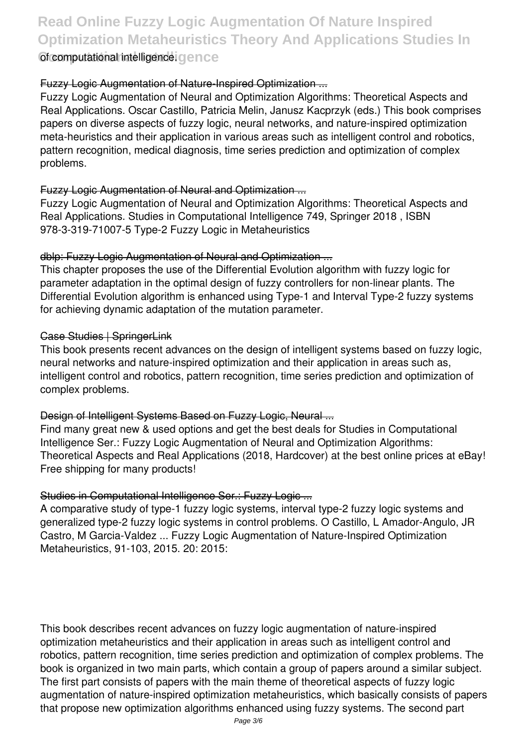**Read Online Fuzzy Logic Augmentation Of Nature Inspired Optimization Metaheuristics Theory And Applications Studies In Computational Intelligence** of computational intelligence.

#### Fuzzy Logic Augmentation of Nature-Inspired Optimization ...

Fuzzy Logic Augmentation of Neural and Optimization Algorithms: Theoretical Aspects and Real Applications. Oscar Castillo, Patricia Melin, Janusz Kacprzyk (eds.) This book comprises papers on diverse aspects of fuzzy logic, neural networks, and nature-inspired optimization meta-heuristics and their application in various areas such as intelligent control and robotics, pattern recognition, medical diagnosis, time series prediction and optimization of complex problems.

#### Fuzzy Logic Augmentation of Neural and Optimization ...

Fuzzy Logic Augmentation of Neural and Optimization Algorithms: Theoretical Aspects and Real Applications. Studies in Computational Intelligence 749, Springer 2018 , ISBN 978-3-319-71007-5 Type-2 Fuzzy Logic in Metaheuristics

#### dblp: Fuzzy Logic Augmentation of Neural and Optimization ...

This chapter proposes the use of the Differential Evolution algorithm with fuzzy logic for parameter adaptation in the optimal design of fuzzy controllers for non-linear plants. The Differential Evolution algorithm is enhanced using Type-1 and Interval Type-2 fuzzy systems for achieving dynamic adaptation of the mutation parameter.

#### Case Studies | SpringerLink

This book presents recent advances on the design of intelligent systems based on fuzzy logic, neural networks and nature-inspired optimization and their application in areas such as, intelligent control and robotics, pattern recognition, time series prediction and optimization of complex problems.

# Design of Intelligent Systems Based on Fuzzy Logic, Neural ...

Find many great new & used options and get the best deals for Studies in Computational Intelligence Ser.: Fuzzy Logic Augmentation of Neural and Optimization Algorithms: Theoretical Aspects and Real Applications (2018, Hardcover) at the best online prices at eBay! Free shipping for many products!

# Studies in Computational Intelligence Ser.: Fuzzy Logic ...

A comparative study of type-1 fuzzy logic systems, interval type-2 fuzzy logic systems and generalized type-2 fuzzy logic systems in control problems. O Castillo, L Amador-Angulo, JR Castro, M Garcia-Valdez ... Fuzzy Logic Augmentation of Nature-Inspired Optimization Metaheuristics, 91-103, 2015. 20: 2015:

This book describes recent advances on fuzzy logic augmentation of nature-inspired optimization metaheuristics and their application in areas such as intelligent control and robotics, pattern recognition, time series prediction and optimization of complex problems. The book is organized in two main parts, which contain a group of papers around a similar subject. The first part consists of papers with the main theme of theoretical aspects of fuzzy logic augmentation of nature-inspired optimization metaheuristics, which basically consists of papers that propose new optimization algorithms enhanced using fuzzy systems. The second part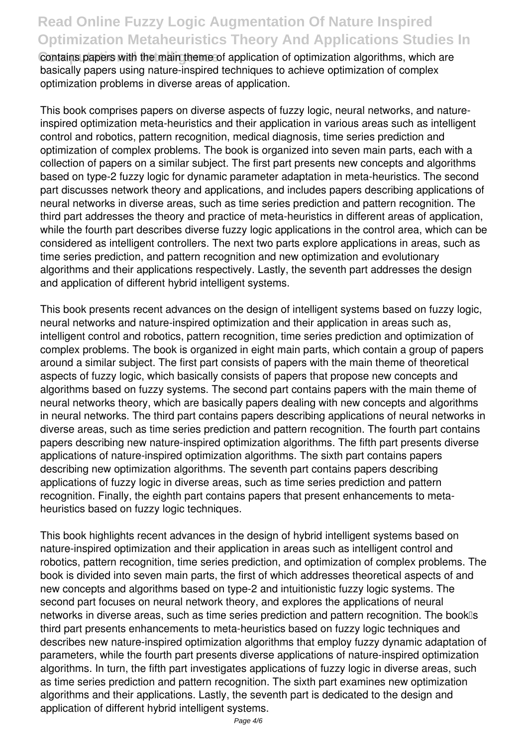# **Read Online Fuzzy Logic Augmentation Of Nature Inspired Optimization Metaheuristics Theory And Applications Studies In**

**Contains papers with the main theme of application of optimization algorithms, which are** basically papers using nature-inspired techniques to achieve optimization of complex optimization problems in diverse areas of application.

This book comprises papers on diverse aspects of fuzzy logic, neural networks, and natureinspired optimization meta-heuristics and their application in various areas such as intelligent control and robotics, pattern recognition, medical diagnosis, time series prediction and optimization of complex problems. The book is organized into seven main parts, each with a collection of papers on a similar subject. The first part presents new concepts and algorithms based on type-2 fuzzy logic for dynamic parameter adaptation in meta-heuristics. The second part discusses network theory and applications, and includes papers describing applications of neural networks in diverse areas, such as time series prediction and pattern recognition. The third part addresses the theory and practice of meta-heuristics in different areas of application, while the fourth part describes diverse fuzzy logic applications in the control area, which can be considered as intelligent controllers. The next two parts explore applications in areas, such as time series prediction, and pattern recognition and new optimization and evolutionary algorithms and their applications respectively. Lastly, the seventh part addresses the design and application of different hybrid intelligent systems.

This book presents recent advances on the design of intelligent systems based on fuzzy logic, neural networks and nature-inspired optimization and their application in areas such as, intelligent control and robotics, pattern recognition, time series prediction and optimization of complex problems. The book is organized in eight main parts, which contain a group of papers around a similar subject. The first part consists of papers with the main theme of theoretical aspects of fuzzy logic, which basically consists of papers that propose new concepts and algorithms based on fuzzy systems. The second part contains papers with the main theme of neural networks theory, which are basically papers dealing with new concepts and algorithms in neural networks. The third part contains papers describing applications of neural networks in diverse areas, such as time series prediction and pattern recognition. The fourth part contains papers describing new nature-inspired optimization algorithms. The fifth part presents diverse applications of nature-inspired optimization algorithms. The sixth part contains papers describing new optimization algorithms. The seventh part contains papers describing applications of fuzzy logic in diverse areas, such as time series prediction and pattern recognition. Finally, the eighth part contains papers that present enhancements to metaheuristics based on fuzzy logic techniques.

This book highlights recent advances in the design of hybrid intelligent systems based on nature-inspired optimization and their application in areas such as intelligent control and robotics, pattern recognition, time series prediction, and optimization of complex problems. The book is divided into seven main parts, the first of which addresses theoretical aspects of and new concepts and algorithms based on type-2 and intuitionistic fuzzy logic systems. The second part focuses on neural network theory, and explores the applications of neural networks in diverse areas, such as time series prediction and pattern recognition. The bookles third part presents enhancements to meta-heuristics based on fuzzy logic techniques and describes new nature-inspired optimization algorithms that employ fuzzy dynamic adaptation of parameters, while the fourth part presents diverse applications of nature-inspired optimization algorithms. In turn, the fifth part investigates applications of fuzzy logic in diverse areas, such as time series prediction and pattern recognition. The sixth part examines new optimization algorithms and their applications. Lastly, the seventh part is dedicated to the design and application of different hybrid intelligent systems.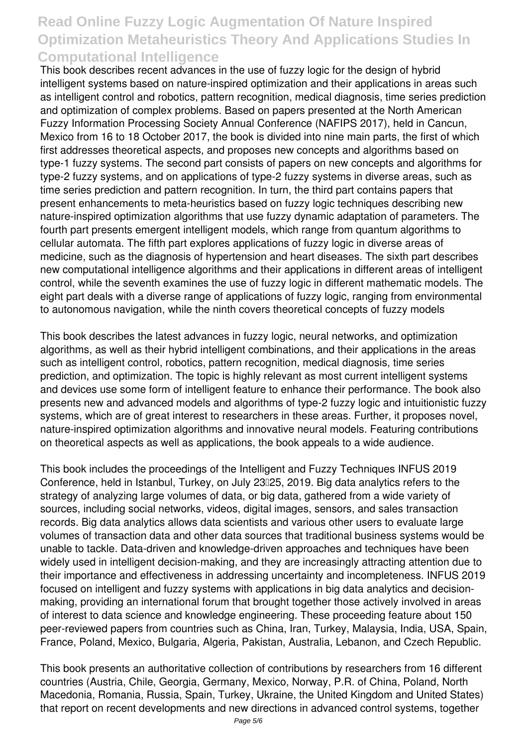# **Read Online Fuzzy Logic Augmentation Of Nature Inspired Optimization Metaheuristics Theory And Applications Studies In Computational Intelligence**

This book describes recent advances in the use of fuzzy logic for the design of hybrid intelligent systems based on nature-inspired optimization and their applications in areas such as intelligent control and robotics, pattern recognition, medical diagnosis, time series prediction and optimization of complex problems. Based on papers presented at the North American Fuzzy Information Processing Society Annual Conference (NAFIPS 2017), held in Cancun, Mexico from 16 to 18 October 2017, the book is divided into nine main parts, the first of which first addresses theoretical aspects, and proposes new concepts and algorithms based on type-1 fuzzy systems. The second part consists of papers on new concepts and algorithms for type-2 fuzzy systems, and on applications of type-2 fuzzy systems in diverse areas, such as time series prediction and pattern recognition. In turn, the third part contains papers that present enhancements to meta-heuristics based on fuzzy logic techniques describing new nature-inspired optimization algorithms that use fuzzy dynamic adaptation of parameters. The fourth part presents emergent intelligent models, which range from quantum algorithms to cellular automata. The fifth part explores applications of fuzzy logic in diverse areas of medicine, such as the diagnosis of hypertension and heart diseases. The sixth part describes new computational intelligence algorithms and their applications in different areas of intelligent control, while the seventh examines the use of fuzzy logic in different mathematic models. The eight part deals with a diverse range of applications of fuzzy logic, ranging from environmental to autonomous navigation, while the ninth covers theoretical concepts of fuzzy models

This book describes the latest advances in fuzzy logic, neural networks, and optimization algorithms, as well as their hybrid intelligent combinations, and their applications in the areas such as intelligent control, robotics, pattern recognition, medical diagnosis, time series prediction, and optimization. The topic is highly relevant as most current intelligent systems and devices use some form of intelligent feature to enhance their performance. The book also presents new and advanced models and algorithms of type-2 fuzzy logic and intuitionistic fuzzy systems, which are of great interest to researchers in these areas. Further, it proposes novel, nature-inspired optimization algorithms and innovative neural models. Featuring contributions on theoretical aspects as well as applications, the book appeals to a wide audience.

This book includes the proceedings of the Intelligent and Fuzzy Techniques INFUS 2019 Conference, held in Istanbul, Turkey, on July 23<sup>[1</sup>25, 2019. Big data analytics refers to the strategy of analyzing large volumes of data, or big data, gathered from a wide variety of sources, including social networks, videos, digital images, sensors, and sales transaction records. Big data analytics allows data scientists and various other users to evaluate large volumes of transaction data and other data sources that traditional business systems would be unable to tackle. Data-driven and knowledge-driven approaches and techniques have been widely used in intelligent decision-making, and they are increasingly attracting attention due to their importance and effectiveness in addressing uncertainty and incompleteness. INFUS 2019 focused on intelligent and fuzzy systems with applications in big data analytics and decisionmaking, providing an international forum that brought together those actively involved in areas of interest to data science and knowledge engineering. These proceeding feature about 150 peer-reviewed papers from countries such as China, Iran, Turkey, Malaysia, India, USA, Spain, France, Poland, Mexico, Bulgaria, Algeria, Pakistan, Australia, Lebanon, and Czech Republic.

This book presents an authoritative collection of contributions by researchers from 16 different countries (Austria, Chile, Georgia, Germany, Mexico, Norway, P.R. of China, Poland, North Macedonia, Romania, Russia, Spain, Turkey, Ukraine, the United Kingdom and United States) that report on recent developments and new directions in advanced control systems, together